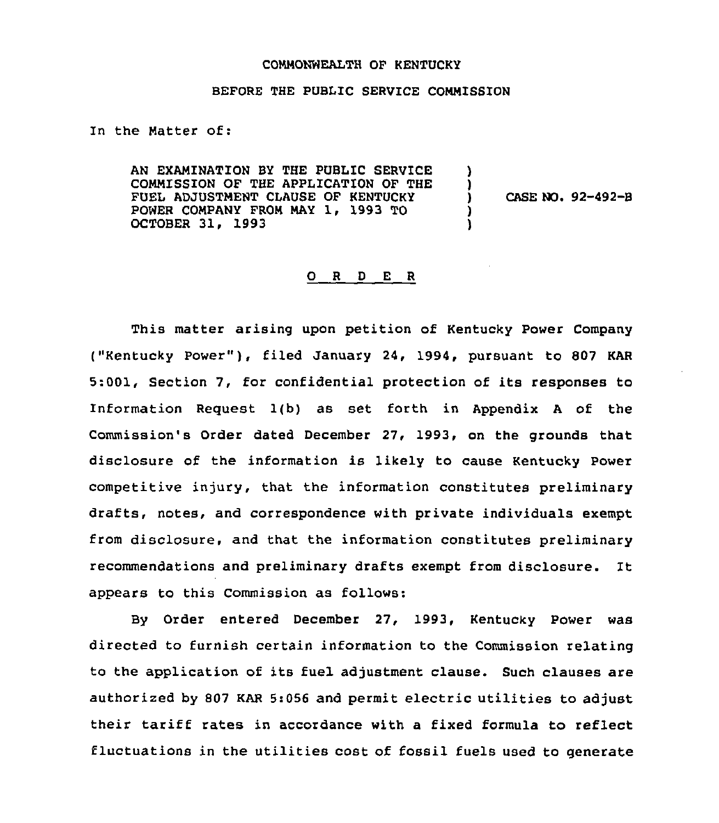## COMMONWEALTH OF KENTUCKY

## BEFORE THE PUBLIC SERVICE COMMISSION

In the Matter of:

AN EXAMINATION BY THE PUBLIC SERVICE COMMISSION OF THE APPLICATION OF THE FUEL ADJUSTMENT CLAUSE OF KENTUCKY POWER COMPANY FROM MAY 1, 1993 TO OCTOBER 31, 1993

) CASE NO. 92-492-B

) )

) )

## 0 <sup>R</sup> <sup>D</sup> <sup>E</sup> <sup>R</sup>

This matter arising upon petition of Kentucky Power Company ("Kentucky Power" ), filed January 24, 1994, pursuant to <sup>807</sup> KAR 5:001, Section 7, for confidential protection of its responses to Information Request 1(b) as set forth in Appendix <sup>A</sup> of the Commission's Order dated December 27, 1993, on the grounds that disclosure of the information is likely to cause Kentucky Power competitive injury, that the information constitutes preliminary drafts, notes, and correspondence with private individuals exempt from disclosure, and that the information constitutes preliminary recommendations and preliminary drafts exempt from disclosure. It appears to this Commission as follows:

By Order entered December 27, 1993, Kentucky Power was directed to furnish certain information to the Commission relating to the application of its fuel adjustment clause. Such clauses are authorized by 807 KAR 5:056 and permit electric utilities to adjust their tariff rates in accordance with <sup>a</sup> fixed formula to reflect fluctuations in the utilities cost of fossil fuels used to generate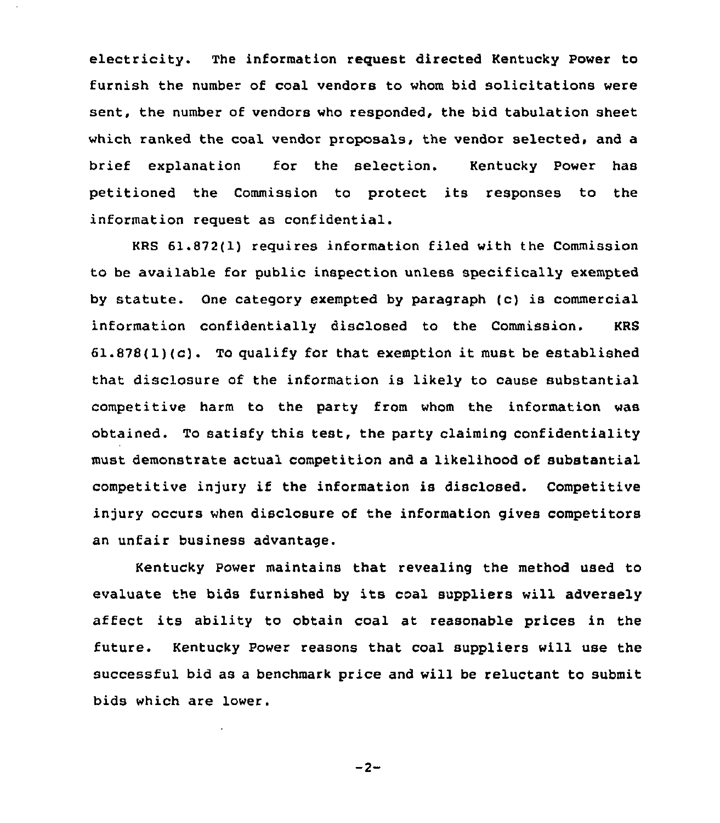electricity. The information request directed Kentucky Power to furnish the number of coal vendors to whom bid solicitations were sent, the number of vendors who responded, the bid tabulation sheet which ranked the coal vendor proposals, the vendor selected, and a brief explanation for the selection. Kentucky Power has petitioned the Commission to protect its responses to the information request as confidential.

KRS 61.872(1) requires information filed with the Commission to be available for public inspection unless specifically exempted by statute. One category exempted by paragraph (c) is commercial information confidentially disclosed to the Commission, KRS  $61.878(1)(c)$ . To qualify for that exemption it must be established that disclosure of the information is likely to cause substantial competitive harm to the party from whom the information was obtained. To satisfy this test, the party claiming confidentiality must demonstrate actual competition and a likelihood of substantial competitive injury if the information is disclosed. Competitive injury occurs when disclosure of the information gives competitors an unfair business advantage.

Kentucky Power maintains that revealing the method used to evaluate the bids furnished by its coal suppliers will adversely affect its ability to obtain coal at reasonable prices in the future. Kentucky Power reasons that coal suppliers will use the successful bid as a benchmark price and will be reluctant to submit bids which are lower.

 $-2-$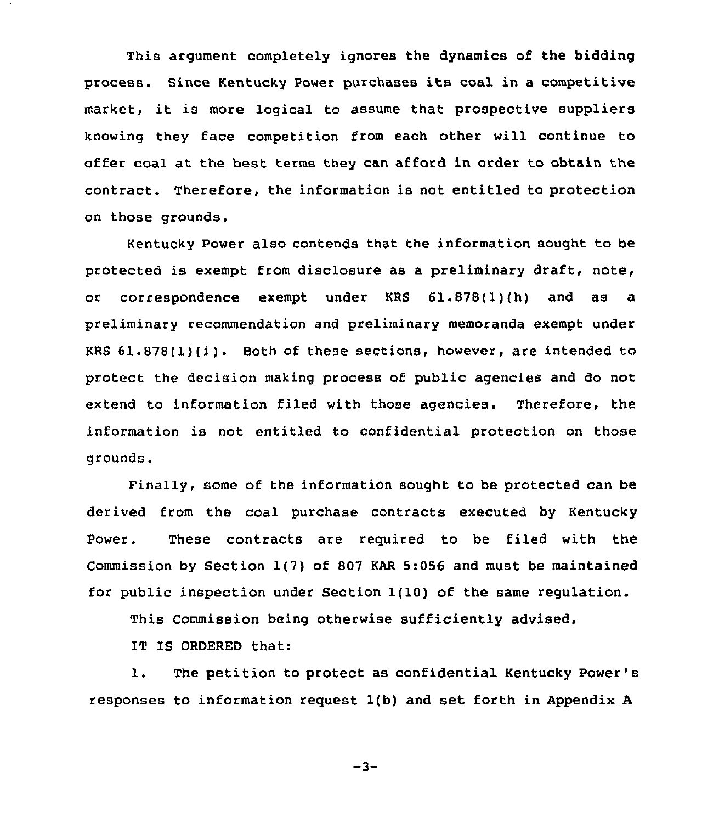This argument completely ignores the dynamics of the bidding process. Since Kentucky Power purchases its coal in <sup>a</sup> competitive market, it is more logical to assume that prospective suppliers knowing they face competition from each other will continue to offer coal at the best terms they can afford in order to obtain the contract. Therefore, the information is not entitled to protection on those grounds.

Kentucky Power also contends that the information sought to be protected is exempt from disclosure as a preliminary draft, note, or correspondence exempt under KRS 61,878(1)(h) and as a preliminary recommendation and preliminary memoranda exempt under KRS 61.878(1)(i). Both of these sections, however, are intended to protect the decision making process of public agencies and do not extend to information filed with those agencies. Therefore, the information is not entitled to confidential protection on those grounds.

Finally, some of the information sought to be protected can be derived from the coal purchase contracts executed by Kentucky Power. These contracts are required to be filed with the Commission by Section 1(7) of 807 KAR 5:056 and must be maintained for public inspection under Section 1(10) of the same regulation.

This Commission being otherwise sufficiently advised,

IT IS ORDERED that:

1. The petition to protect as confidential Kentucky Power's responses to information request 1(b) and set forth in Appendix <sup>A</sup>

 $-3-$